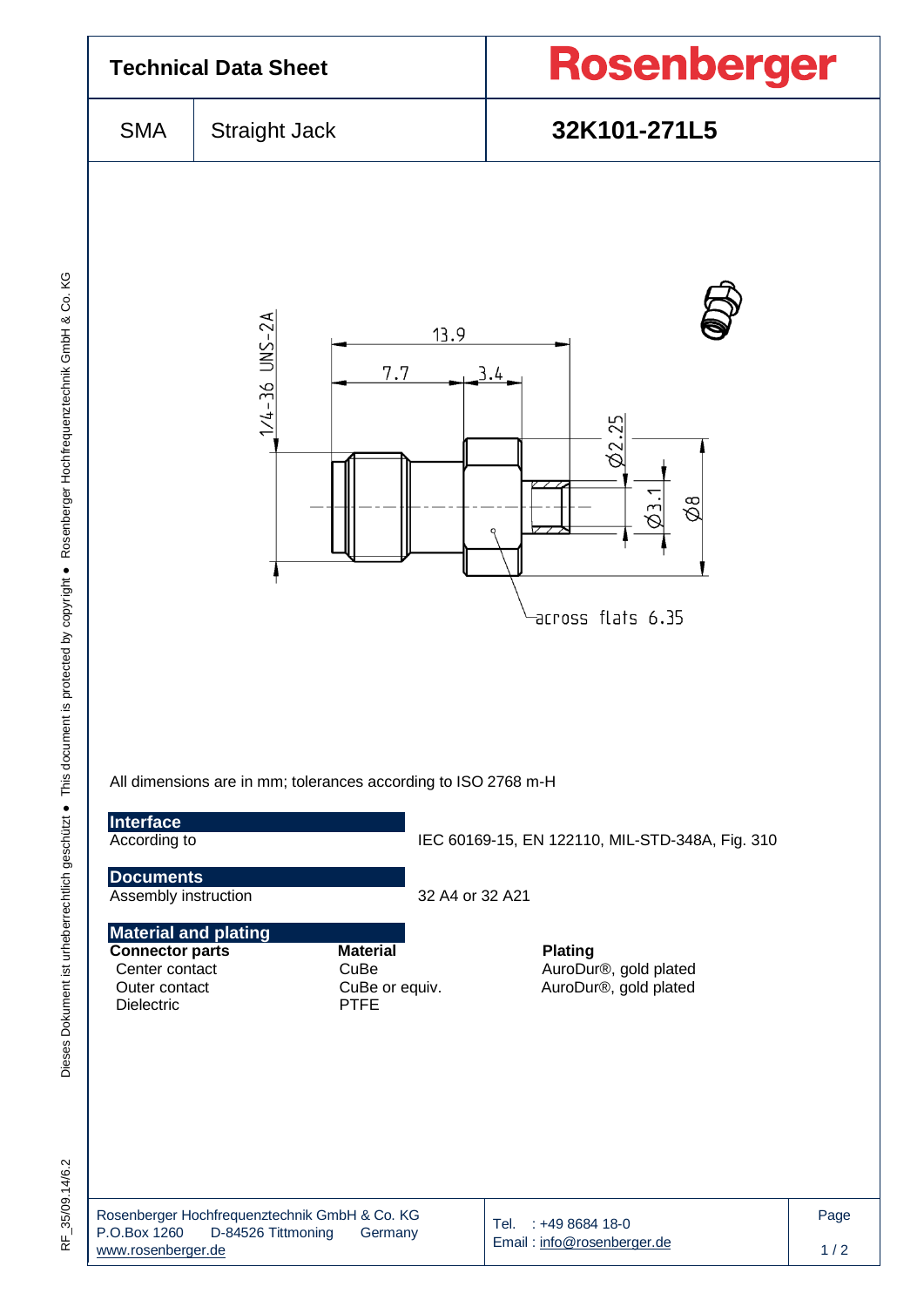